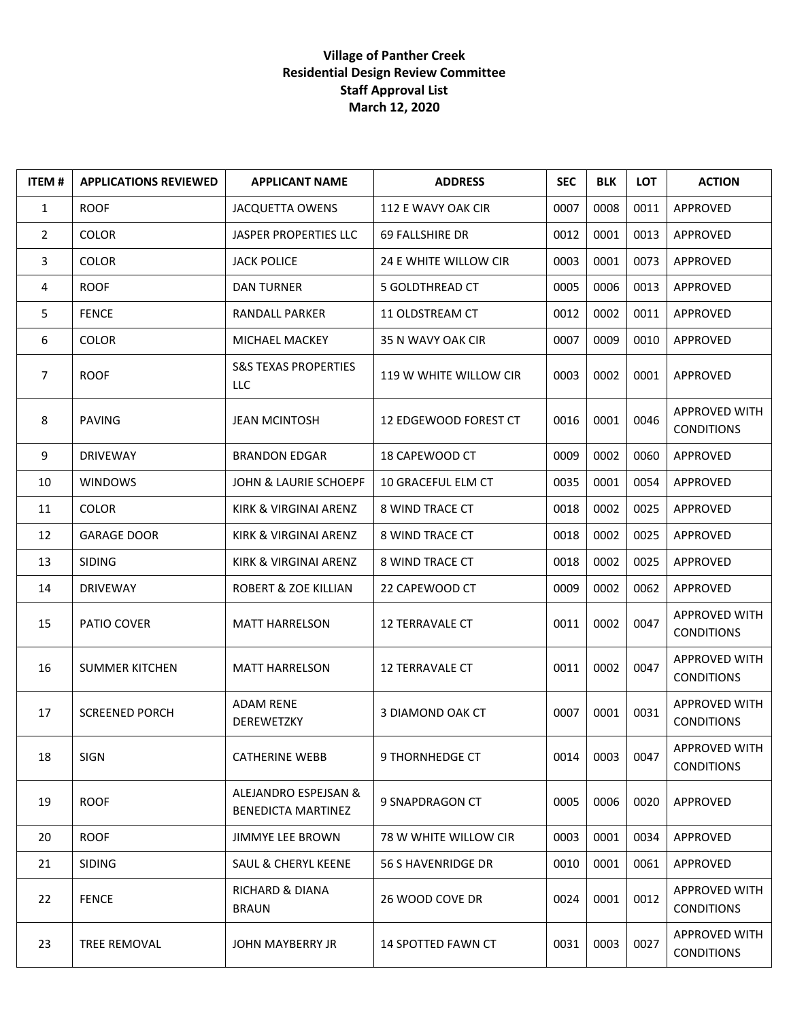## **Village of Panther Creek Residential Design Review Committee Staff Approval List March 12, 2020**

| <b>ITEM#</b>   | <b>APPLICATIONS REVIEWED</b> | <b>APPLICANT NAME</b>                      | <b>ADDRESS</b>               | <b>SEC</b> | <b>BLK</b> | <b>LOT</b> | <b>ACTION</b>                             |
|----------------|------------------------------|--------------------------------------------|------------------------------|------------|------------|------------|-------------------------------------------|
| $\mathbf{1}$   | <b>ROOF</b>                  | <b>JACQUETTA OWENS</b>                     | 112 E WAVY OAK CIR           | 0007       | 0008       | 0011       | APPROVED                                  |
| $\overline{2}$ | <b>COLOR</b>                 | <b>JASPER PROPERTIES LLC</b>               | 69 FALLSHIRE DR              | 0012       | 0001       | 0013       | <b>APPROVED</b>                           |
| 3              | <b>COLOR</b>                 | <b>JACK POLICE</b>                         | 24 E WHITE WILLOW CIR        | 0003       | 0001       | 0073       | APPROVED                                  |
| 4              | <b>ROOF</b>                  | <b>DAN TURNER</b>                          | <b>5 GOLDTHREAD CT</b>       | 0005       | 0006       | 0013       | APPROVED                                  |
| 5              | <b>FENCE</b>                 | <b>RANDALL PARKER</b>                      | 11 OLDSTREAM CT              | 0012       | 0002       | 0011       | APPROVED                                  |
| 6              | <b>COLOR</b>                 | MICHAEL MACKEY                             | 35 N WAVY OAK CIR            | 0007       | 0009       | 0010       | APPROVED                                  |
| $\overline{7}$ | <b>ROOF</b>                  | <b>S&amp;S TEXAS PROPERTIES</b><br>LLC     | 119 W WHITE WILLOW CIR       | 0003       | 0002       | 0001       | APPROVED                                  |
| 8              | <b>PAVING</b>                | <b>JEAN MCINTOSH</b>                       | 12 EDGEWOOD FOREST CT        | 0016       | 0001       | 0046       | APPROVED WITH<br><b>CONDITIONS</b>        |
| 9              | <b>DRIVEWAY</b>              | <b>BRANDON EDGAR</b>                       | 18 CAPEWOOD CT               | 0009       | 0002       | 0060       | APPROVED                                  |
| 10             | <b>WINDOWS</b>               | JOHN & LAURIE SCHOEPF                      | 10 GRACEFUL ELM CT           | 0035       | 0001       | 0054       | APPROVED                                  |
| 11             | <b>COLOR</b>                 | KIRK & VIRGINAI ARENZ                      | 8 WIND TRACE CT              | 0018       | 0002       | 0025       | APPROVED                                  |
| 12             | <b>GARAGE DOOR</b>           | KIRK & VIRGINAI ARENZ                      | 8 WIND TRACE CT              | 0018       | 0002       | 0025       | <b>APPROVED</b>                           |
| 13             | <b>SIDING</b>                | KIRK & VIRGINAI ARENZ                      | 8 WIND TRACE CT              | 0018       | 0002       | 0025       | APPROVED                                  |
| 14             | <b>DRIVEWAY</b>              | ROBERT & ZOE KILLIAN                       | 22 CAPEWOOD CT               | 0009       | 0002       | 0062       | APPROVED                                  |
| 15             | PATIO COVER                  | <b>MATT HARRELSON</b>                      | 12 TERRAVALE CT              | 0011       | 0002       | 0047       | <b>APPROVED WITH</b><br><b>CONDITIONS</b> |
| 16             | <b>SUMMER KITCHEN</b>        | <b>MATT HARRELSON</b>                      | <b>12 TERRAVALE CT</b>       | 0011       | 0002       | 0047       | APPROVED WITH<br><b>CONDITIONS</b>        |
| 17             | <b>SCREENED PORCH</b>        | <b>ADAM RENE</b><br>DEREWETZKY             | <b>3 DIAMOND OAK CT</b>      | 0007       | 0001       | 0031       | APPROVED WITH<br><b>CONDITIONS</b>        |
| 18             | <b>SIGN</b>                  | <b>CATHERINE WEBB</b>                      | 9 THORNHEDGE CT              | 0014       | 0003       | 0047       | APPROVED WITH<br><b>CONDITIONS</b>        |
| 19             | <b>ROOF</b>                  | ALEJANDRO ESPEJSAN &<br>BENEDICTA MARTINEZ | 9 SNAPDRAGON CT              | 0005       | 0006       | 0020       | APPROVED                                  |
| 20             | <b>ROOF</b>                  | JIMMYE LEE BROWN                           | <b>78 W WHITE WILLOW CIR</b> | 0003       | 0001       | 0034       | APPROVED                                  |
| 21             | <b>SIDING</b>                | <b>SAUL &amp; CHERYL KEENE</b>             | <b>56 S HAVENRIDGE DR</b>    | 0010       | 0001       | 0061       | APPROVED                                  |
| 22             | <b>FENCE</b>                 | <b>RICHARD &amp; DIANA</b><br><b>BRAUN</b> | 26 WOOD COVE DR              | 0024       | 0001       | 0012       | <b>APPROVED WITH</b><br><b>CONDITIONS</b> |
| 23             | TREE REMOVAL                 | JOHN MAYBERRY JR                           | 14 SPOTTED FAWN CT           | 0031       | 0003       | 0027       | <b>APPROVED WITH</b><br><b>CONDITIONS</b> |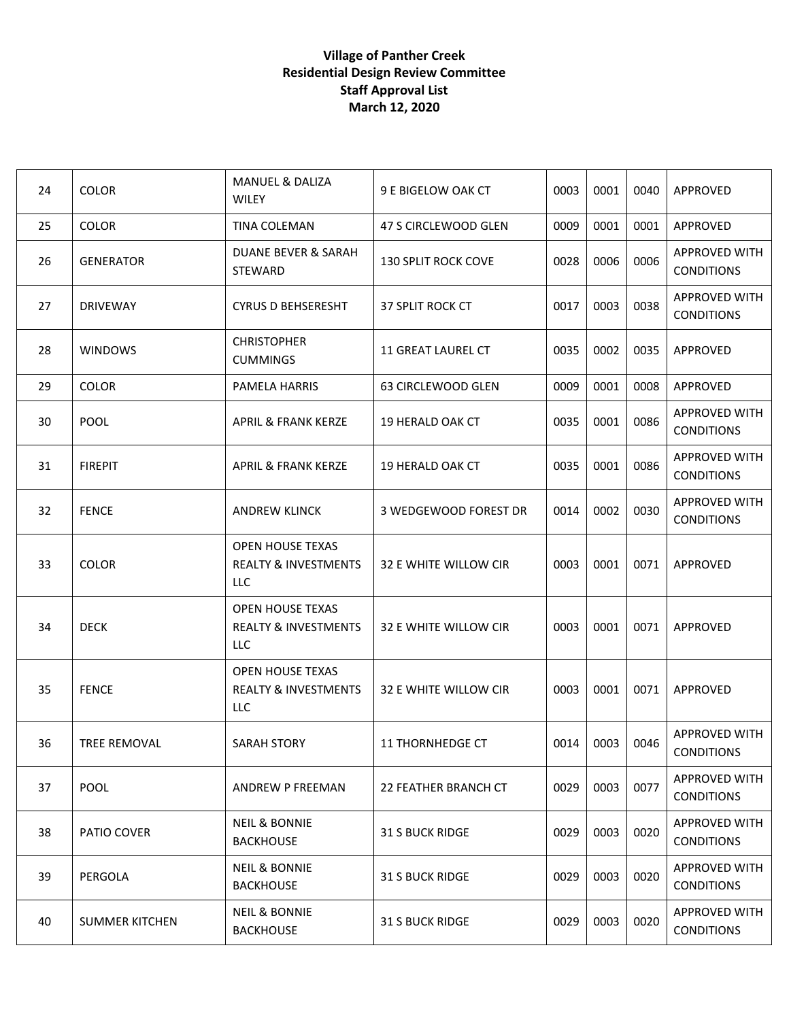## **Village of Panther Creek Residential Design Review Committee Staff Approval List March 12, 2020**

| 24 | <b>COLOR</b>          | <b>MANUEL &amp; DALIZA</b><br><b>WILEY</b>                         | 9 E BIGELOW OAK CT          | 0003 | 0001 | 0040 | APPROVED                                  |
|----|-----------------------|--------------------------------------------------------------------|-----------------------------|------|------|------|-------------------------------------------|
| 25 | <b>COLOR</b>          | TINA COLEMAN                                                       | 47 S CIRCLEWOOD GLEN        | 0009 | 0001 | 0001 | APPROVED                                  |
| 26 | <b>GENERATOR</b>      | DUANE BEVER & SARAH<br><b>STEWARD</b>                              | <b>130 SPLIT ROCK COVE</b>  | 0028 | 0006 | 0006 | APPROVED WITH<br><b>CONDITIONS</b>        |
| 27 | <b>DRIVEWAY</b>       | <b>CYRUS D BEHSERESHT</b>                                          | 37 SPLIT ROCK CT            | 0017 | 0003 | 0038 | <b>APPROVED WITH</b><br><b>CONDITIONS</b> |
| 28 | <b>WINDOWS</b>        | <b>CHRISTOPHER</b><br><b>CUMMINGS</b>                              | <b>11 GREAT LAUREL CT</b>   | 0035 | 0002 | 0035 | APPROVED                                  |
| 29 | <b>COLOR</b>          | PAMELA HARRIS                                                      | 63 CIRCLEWOOD GLEN          | 0009 | 0001 | 0008 | APPROVED                                  |
| 30 | <b>POOL</b>           | <b>APRIL &amp; FRANK KERZE</b>                                     | <b>19 HERALD OAK CT</b>     | 0035 | 0001 | 0086 | <b>APPROVED WITH</b><br><b>CONDITIONS</b> |
| 31 | <b>FIREPIT</b>        | APRIL & FRANK KERZE                                                | <b>19 HERALD OAK CT</b>     | 0035 | 0001 | 0086 | <b>APPROVED WITH</b><br><b>CONDITIONS</b> |
| 32 | <b>FENCE</b>          | <b>ANDREW KLINCK</b>                                               | 3 WEDGEWOOD FOREST DR       | 0014 | 0002 | 0030 | <b>APPROVED WITH</b><br><b>CONDITIONS</b> |
| 33 | <b>COLOR</b>          | <b>OPEN HOUSE TEXAS</b><br><b>REALTY &amp; INVESTMENTS</b><br>LLC. | 32 E WHITE WILLOW CIR       | 0003 | 0001 | 0071 | APPROVED                                  |
| 34 | <b>DECK</b>           | <b>OPEN HOUSE TEXAS</b><br><b>REALTY &amp; INVESTMENTS</b><br>LLC  | 32 E WHITE WILLOW CIR       | 0003 | 0001 | 0071 | APPROVED                                  |
| 35 | <b>FENCE</b>          | <b>OPEN HOUSE TEXAS</b><br><b>REALTY &amp; INVESTMENTS</b><br>LLC  | 32 E WHITE WILLOW CIR       | 0003 | 0001 | 0071 | APPROVED                                  |
| 36 | TREE REMOVAL          | <b>SARAH STORY</b>                                                 | <b>11 THORNHEDGE CT</b>     | 0014 | 0003 | 0046 | <b>APPROVED WITH</b><br><b>CONDITIONS</b> |
| 37 | <b>POOL</b>           | ANDREW P FREEMAN                                                   | <b>22 FEATHER BRANCH CT</b> | 0029 | 0003 | 0077 | APPROVED WITH<br><b>CONDITIONS</b>        |
| 38 | PATIO COVER           | <b>NEIL &amp; BONNIE</b><br><b>BACKHOUSE</b>                       | 31 S BUCK RIDGE             | 0029 | 0003 | 0020 | APPROVED WITH<br><b>CONDITIONS</b>        |
| 39 | PERGOLA               | <b>NEIL &amp; BONNIE</b><br><b>BACKHOUSE</b>                       | <b>31 S BUCK RIDGE</b>      | 0029 | 0003 | 0020 | <b>APPROVED WITH</b><br><b>CONDITIONS</b> |
| 40 | <b>SUMMER KITCHEN</b> | <b>NEIL &amp; BONNIE</b><br><b>BACKHOUSE</b>                       | <b>31 S BUCK RIDGE</b>      | 0029 | 0003 | 0020 | APPROVED WITH<br><b>CONDITIONS</b>        |